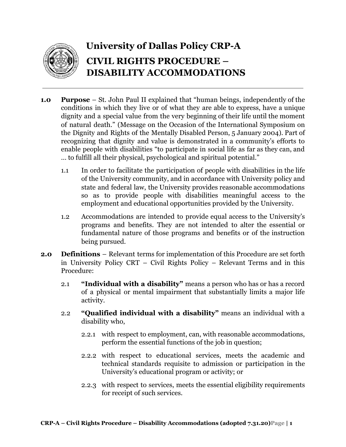

## **University of Dallas Policy CRP-A CIVIL RIGHTS PROCEDURE – DISABILITY ACCOMMODATIONS**

- **1.0 Purpose** St. John Paul II explained that "human beings, independently of the conditions in which they live or of what they are able to express, have a unique dignity and a special value from the very beginning of their life until the moment of natural death." (Message on the Occasion of the International Symposium on the Dignity and Rights of the Mentally Disabled Person, 5 January 2004). Part of recognizing that dignity and value is demonstrated in a community's efforts to enable people with disabilities "to participate in social life as far as they can, and … to fulfill all their physical, psychological and spiritual potential."
	- 1.1 In order to facilitate the participation of people with disabilities in the life of the University community, and in accordance with University policy and state and federal law, the University provides reasonable accommodations so as to provide people with disabilities meaningful access to the employment and educational opportunities provided by the University.
	- 1.2 Accommodations are intended to provide equal access to the University's programs and benefits. They are not intended to alter the essential or fundamental nature of those programs and benefits or of the instruction being pursued.
- **2.0 Definitions** Relevant terms for implementation of this Procedure are set forth in University Policy CRT – Civil Rights Policy – Relevant Terms and in this Procedure:
	- 2.1 **"Individual with a disability"** means a person who has or has a record of a physical or mental impairment that substantially limits a major life activity.
	- 2.2 **"Qualified individual with a disability"** means an individual with a disability who,
		- 2.2.1 with respect to employment, can, with reasonable accommodations, perform the essential functions of the job in question;
		- 2.2.2 with respect to educational services, meets the academic and technical standards requisite to admission or participation in the University's educational program or activity; or
		- 2.2.3 with respect to services, meets the essential eligibility requirements for receipt of such services.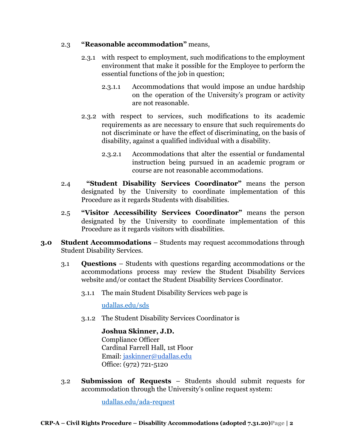## 2.3 **"Reasonable accommodation"** means,

- 2.3.1 with respect to employment, such modifications to the employment environment that make it possible for the Employee to perform the essential functions of the job in question;
	- 2.3.1.1 Accommodations that would impose an undue hardship on the operation of the University's program or activity are not reasonable.
- 2.3.2 with respect to services, such modifications to its academic requirements as are necessary to ensure that such requirements do not discriminate or have the effect of discriminating, on the basis of disability, against a qualified individual with a disability.
	- 2.3.2.1 Accommodations that alter the essential or fundamental instruction being pursued in an academic program or course are not reasonable accommodations.
- 2.4 **"Student Disability Services Coordinator"** means the person designated by the University to coordinate implementation of this Procedure as it regards Students with disabilities.
- 2.5 **"Visitor Accessibility Services Coordinator"** means the person designated by the University to coordinate implementation of this Procedure as it regards visitors with disabilities.
- **3.0 Student Accommodations** Students may request accommodations through Student Disability Services.
	- 3.1 **Questions** Students with questions regarding accommodations or the accommodations process may review the Student Disability Services website and/or contact the Student Disability Services Coordinator.
		- 3.1.1 The main Student Disability Services web page is

[udallas.edu/sds](http://www.udallas.edu/sds)

3.1.2 The Student Disability Services Coordinator is

**Joshua Skinner, J.D.** Compliance Officer

Cardinal Farrell Hall, 1st Floor Email: [jaskinner@udallas.edu](mailto:jaskinner@udallas.edu) Office: (972) 721-5120

3.2 **Submission of Requests** – Students should submit requests for accommodation through the University's online request system:

[udallas.edu/ada-request](http://www.udallas.edu/ada-request)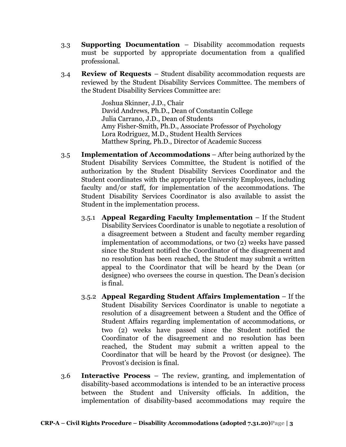- 3.3 **Supporting Documentation** Disability accommodation requests must be supported by appropriate documentation from a qualified professional.
- 3.4 **Review of Requests** Student disability accommodation requests are reviewed by the Student Disability Services Committee. The members of the Student Disability Services Committee are:

Joshua Skinner, J.D., Chair David Andrews, Ph.D., Dean of Constantin College Julia Carrano, J.D., Dean of Students Amy Fisher-Smith, Ph.D., Associate Professor of Psychology Lora Rodriguez, M.D., Student Health Services Matthew Spring, Ph.D., Director of Academic Success

- 3.5 **Implementation of Accommodations** After being authorized by the Student Disability Services Committee, the Student is notified of the authorization by the Student Disability Services Coordinator and the Student coordinates with the appropriate University Employees, including faculty and/or staff, for implementation of the accommodations. The Student Disability Services Coordinator is also available to assist the Student in the implementation process.
	- 3.5.1 **Appeal Regarding Faculty Implementation** If the Student Disability Services Coordinator is unable to negotiate a resolution of a disagreement between a Student and faculty member regarding implementation of accommodations, or two (2) weeks have passed since the Student notified the Coordinator of the disagreement and no resolution has been reached, the Student may submit a written appeal to the Coordinator that will be heard by the Dean (or designee) who oversees the course in question. The Dean's decision is final.
	- 3.5.2 **Appeal Regarding Student Affairs Implementation** If the Student Disability Services Coordinator is unable to negotiate a resolution of a disagreement between a Student and the Office of Student Affairs regarding implementation of accommodations, or two (2) weeks have passed since the Student notified the Coordinator of the disagreement and no resolution has been reached, the Student may submit a written appeal to the Coordinator that will be heard by the Provost (or designee). The Provost's decision is final.
- 3.6 **Interactive Process** The review, granting, and implementation of disability-based accommodations is intended to be an interactive process between the Student and University officials. In addition, the implementation of disability-based accommodations may require the